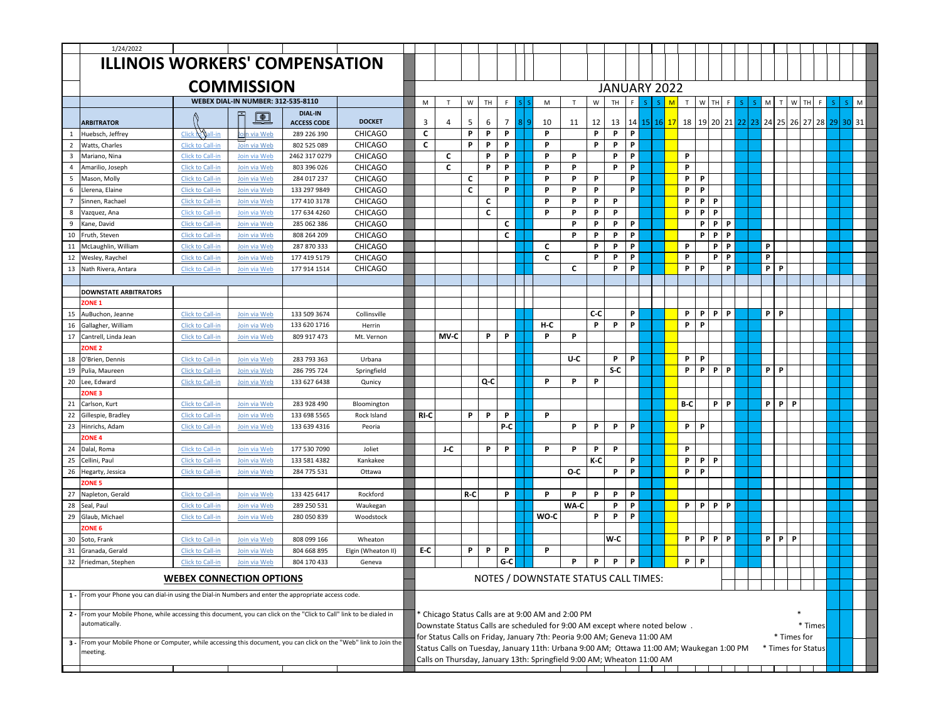|                         | 1/24/2022                                                                                                            |                                 |                                           |                                                                                                                                            |                    |                             |             |              |     |    |                |  |      |                                                                                          |     |              |                 |    |                           |     |          |          |  |                      |                    |              |  |       |    |
|-------------------------|----------------------------------------------------------------------------------------------------------------------|---------------------------------|-------------------------------------------|--------------------------------------------------------------------------------------------------------------------------------------------|--------------------|-----------------------------|-------------|--------------|-----|----|----------------|--|------|------------------------------------------------------------------------------------------|-----|--------------|-----------------|----|---------------------------|-----|----------|----------|--|----------------------|--------------------|--------------|--|-------|----|
|                         | <b>ILLINOIS WORKERS' COMPENSATION</b>                                                                                |                                 |                                           |                                                                                                                                            |                    |                             |             |              |     |    |                |  |      |                                                                                          |     |              |                 |    |                           |     |          |          |  |                      |                    |              |  |       |    |
|                         |                                                                                                                      |                                 |                                           |                                                                                                                                            |                    |                             |             |              |     |    |                |  |      |                                                                                          |     |              |                 |    |                           |     |          |          |  |                      |                    |              |  |       |    |
|                         |                                                                                                                      |                                 | <b>COMMISSION</b>                         |                                                                                                                                            |                    |                             |             |              |     |    |                |  |      |                                                                                          |     | JANUARY 2022 |                 |    |                           |     |          |          |  |                      |                    |              |  |       |    |
|                         |                                                                                                                      |                                 |                                           |                                                                                                                                            |                    |                             |             |              |     |    |                |  |      |                                                                                          |     |              |                 |    |                           |     |          |          |  |                      |                    |              |  |       |    |
|                         |                                                                                                                      |                                 | <b>WEBEX DIAL-IN NUMBER: 312-535-8110</b> |                                                                                                                                            |                    |                             | M           | $\mathsf{T}$ | W   | TH | F              |  | M    | $\mathsf{T}$                                                                             | w   | TH.          |                 | ς. | M                         | T   | W<br>TH  | F        |  | M                    |                    | W            |  |       | M  |
|                         | <b>ARBITRATOR</b>                                                                                                    |                                 | $\Box$                                    | <b>DIAL-IN</b><br><b>ACCESS CODE</b>                                                                                                       | <b>DOCKET</b>      |                             | 3           | 4            | -5  | 6  | $\overline{7}$ |  | 10   | 11                                                                                       | 12  | 13           | 14 <sup>1</sup> |    | 15   16 <mark>  17</mark> | 18  | 19 20 21 |          |  | 22 23 24 25 26 27 28 |                    |              |  | 29 30 | 31 |
| -1                      | Huebsch, Jeffrey                                                                                                     | Click to Gall-in                | Join via Web                              | 289 226 390                                                                                                                                | <b>CHICAGO</b>     |                             | $\mathbf c$ |              | P   | P  | P              |  | P    |                                                                                          | P   | P            | P               |    |                           |     |          |          |  |                      |                    |              |  |       |    |
| $\overline{2}$          | Watts, Charles                                                                                                       | Click to Call-in                | Join via Web                              | 802 525 089                                                                                                                                | <b>CHICAGO</b>     |                             | c           |              | P   | P  | P              |  | P    |                                                                                          | P   | P            | <b>P</b>        |    |                           |     |          |          |  |                      |                    |              |  |       |    |
| $\overline{\mathbf{3}}$ | Mariano, Nina                                                                                                        | Click to Call-in                | Join via Web                              | 2462 317 0279                                                                                                                              | <b>CHICAGO</b>     |                             |             | C            |     | P  | P.             |  | P    | P                                                                                        |     | P            | P.              |    |                           | P   |          |          |  |                      |                    |              |  |       |    |
| $\overline{4}$          | Amarilio, Joseph                                                                                                     | Click to Call-in                | Join via Web                              | 803 396 026                                                                                                                                | <b>CHICAGO</b>     |                             |             | C            |     | P  | P              |  | P    | P                                                                                        |     | P            | <b>P</b>        |    |                           | P   |          |          |  |                      |                    |              |  |       |    |
| 5                       | Mason, Molly                                                                                                         | Click to Call-in                | Join via Web                              | 284 017 237                                                                                                                                | <b>CHICAGO</b>     |                             |             |              | C   |    | P              |  | P    | P                                                                                        | P   |              | <b>P</b>        |    |                           | P.  | P        |          |  |                      |                    |              |  |       |    |
| 6                       | Llerena, Elaine                                                                                                      | Click to Call-in                | Join via Web                              | 133 297 9849                                                                                                                               | <b>CHICAGO</b>     |                             |             |              | C   |    | $\mathsf{P}$   |  | P    | P                                                                                        | P   |              | P.              |    |                           | P   | P        |          |  |                      |                    |              |  |       |    |
| $\overline{7}$          | Sinnen, Rachael                                                                                                      | Click to Call-in                | Join via Web                              | 177 410 3178                                                                                                                               | <b>CHICAGO</b>     |                             |             |              |     | C  |                |  | P    | P                                                                                        | P   | P            |                 |    |                           | P   | P<br>P   |          |  |                      |                    |              |  |       |    |
| 8                       | Vazquez, Ana                                                                                                         | Click to Call-in                | Join via Web                              | 177 634 4260                                                                                                                               | <b>CHICAGO</b>     |                             |             |              |     | C  |                |  | P    | P                                                                                        | P   | P            |                 |    |                           | P.  | P<br>P   |          |  |                      |                    |              |  |       |    |
| 9                       | Kane, David                                                                                                          | Click to Call-in                | Join via Web                              | 285 062 386                                                                                                                                | <b>CHICAGO</b>     |                             |             |              |     |    | C              |  |      | P                                                                                        | P   | $\mathbf{P}$ | P.              |    |                           |     | P<br>P.  | P        |  |                      |                    |              |  |       |    |
| 10                      | Fruth, Steven                                                                                                        | Click to Call-in                | Join via Web                              | 808 264 209                                                                                                                                | <b>CHICAGO</b>     |                             |             |              |     |    | C              |  |      | P                                                                                        | P   | P            | <b>P</b>        |    |                           |     | P<br>P   | P        |  |                      |                    |              |  |       |    |
| 11                      | McLaughlin, William                                                                                                  | Click to Call-in                | Join via Web                              | 287 870 333                                                                                                                                | <b>CHICAGO</b>     |                             |             |              |     |    |                |  | C    |                                                                                          | P   | P            | P               |    |                           | P.  | P        | P        |  | P                    |                    |              |  |       |    |
| 12                      | Wesley, Raychel                                                                                                      | Click to Call-in                | Join via Web                              | 177 419 5179                                                                                                                               | <b>CHICAGO</b>     |                             |             |              |     |    |                |  | C    |                                                                                          | P   | P            | P               |    |                           | P   | P        | P        |  | P                    |                    |              |  |       |    |
| 13                      | Nath Rivera, Antara                                                                                                  | <b>Click to Call-in</b>         | Join via Web                              | 177 914 1514                                                                                                                               | <b>CHICAGO</b>     |                             |             |              |     |    |                |  |      | C                                                                                        |     | P            | P               |    |                           | P.  | P        | P        |  | P                    | P                  |              |  |       |    |
|                         |                                                                                                                      |                                 |                                           |                                                                                                                                            |                    |                             |             |              |     |    |                |  |      |                                                                                          |     |              |                 |    |                           |     |          |          |  |                      |                    |              |  |       |    |
|                         | <b>DOWNSTATE ARBITRATORS</b>                                                                                         |                                 |                                           |                                                                                                                                            |                    |                             |             |              |     |    |                |  |      |                                                                                          |     |              |                 |    |                           |     |          |          |  |                      |                    |              |  |       |    |
|                         | ZONE <sub>1</sub>                                                                                                    |                                 |                                           |                                                                                                                                            |                    |                             |             |              |     |    |                |  |      |                                                                                          |     |              |                 |    |                           |     |          |          |  |                      |                    |              |  |       |    |
| 15                      | AuBuchon, Jeanne                                                                                                     | Click to Call-in                | Join via Web                              | 133 509 3674                                                                                                                               | Collinsville       |                             |             |              |     |    |                |  |      |                                                                                          | C-C |              | P               |    |                           | P   | P<br>P.  | P        |  | P                    | <b>P</b>           |              |  |       |    |
| 16                      | Gallagher, William                                                                                                   | Click to Call-in                | Join via Web                              | 133 620 1716                                                                                                                               | Herrin             |                             |             |              |     |    |                |  | H-C  |                                                                                          | P   | P            | <b>P</b>        |    |                           | P.  | P        |          |  |                      |                    |              |  |       |    |
| 17                      | Cantrell, Linda Jean                                                                                                 | <b>Click to Call-in</b>         | Join via Web                              | 809 917 473                                                                                                                                | Mt. Vernon         |                             |             | MV-C         |     | P  | P              |  | P    | P                                                                                        |     |              |                 |    |                           |     |          |          |  |                      |                    |              |  |       |    |
|                         | ZONE 2                                                                                                               |                                 |                                           |                                                                                                                                            |                    |                             |             |              |     |    |                |  |      |                                                                                          |     |              |                 |    |                           |     |          |          |  |                      |                    |              |  |       |    |
| 18                      | O'Brien, Dennis                                                                                                      | Click to Call-in                | Join via Web                              | 283 793 363                                                                                                                                | Urbana             |                             |             |              |     |    |                |  |      | U-C                                                                                      |     | P            | P.              |    |                           | P.  | P        |          |  |                      |                    |              |  |       |    |
| 19                      | Pulia, Maureen                                                                                                       | <b>Click to Call-in</b>         | Join via Web                              | 286 795 724                                                                                                                                | Springfield        | P<br>$S-C$<br>P.<br>P.<br>P |             |              |     |    |                |  |      |                                                                                          |     |              |                 |    |                           |     | P        |          |  |                      |                    |              |  |       |    |
| 20                      | Lee, Edward                                                                                                          | Click to Call-in                | Join via Web                              | 133 627 6438                                                                                                                               | Qunicy             | P<br>Q-C<br>P<br>P<br>P     |             |              |     |    |                |  |      |                                                                                          |     |              |                 |    |                           |     |          |          |  |                      |                    |              |  |       |    |
|                         | ZONE <sub>3</sub>                                                                                                    |                                 |                                           |                                                                                                                                            |                    |                             |             |              |     |    |                |  |      |                                                                                          |     |              |                 |    |                           |     |          |          |  |                      |                    |              |  |       |    |
| 21                      | Carlson, Kurt                                                                                                        | Click to Call-in                | Join via Web                              | 283 928 490                                                                                                                                | Bloomingtor        |                             |             |              |     |    |                |  |      |                                                                                          |     |              |                 |    |                           | B-C | P.       | P        |  | P                    | P.                 | $\mathsf{P}$ |  |       |    |
| 22                      | Gillespie, Bradley                                                                                                   | <b>Click to Call-in</b>         | Join via Web                              | 133 698 5565                                                                                                                               | Rock Island        |                             | RI-C        |              | P   | P  | P              |  | P    |                                                                                          |     |              |                 |    |                           |     |          |          |  |                      |                    |              |  |       |    |
| 23                      | Hinrichs, Adam                                                                                                       | Click to Call-in                | Join via Web                              | 133 639 4316                                                                                                                               | Peoria             |                             |             |              |     |    | P-C            |  |      | P                                                                                        | P   | P            | P.              |    |                           | P.  | P        |          |  |                      |                    |              |  |       |    |
|                         | <b>ZONE 4</b>                                                                                                        |                                 |                                           |                                                                                                                                            |                    |                             |             |              |     |    |                |  |      |                                                                                          |     |              |                 |    |                           |     |          |          |  |                      |                    |              |  |       |    |
| 24                      | Dalal, Roma                                                                                                          | Click to Call-in                | Join via Web                              | 177 530 7090                                                                                                                               | Joliet             |                             |             | J-C          |     | P  | P.             |  | P    | P                                                                                        | P   | P            |                 |    |                           | P.  |          |          |  |                      |                    |              |  |       |    |
| 25                      | Cellini, Paul                                                                                                        | Click to Call-in                | Join via Web                              | 133 581 4382                                                                                                                               | Kankakee           |                             |             |              |     |    |                |  |      |                                                                                          | K-C |              | P.              |    |                           | P.  | P<br>P   |          |  |                      |                    |              |  |       |    |
| 26                      | Hegarty, Jessica                                                                                                     | Click to Call-in                | Join via Web                              | 284 775 531                                                                                                                                | Ottawa             |                             |             |              |     |    |                |  |      | O-C                                                                                      |     | P.           | <b>P</b>        |    |                           | P.  | P        |          |  |                      |                    |              |  |       |    |
|                         | ZONE <sub>5</sub>                                                                                                    |                                 |                                           |                                                                                                                                            |                    |                             |             |              |     |    |                |  |      |                                                                                          |     |              |                 |    |                           |     |          |          |  |                      |                    |              |  |       |    |
| 27                      | Napleton, Gerald                                                                                                     | Click to Call-in                | Join via Web                              | 133 425 6417                                                                                                                               | Rockford           |                             |             |              | R-C |    | P              |  | P    | P                                                                                        | P   | P<br>P       | P.<br>P.        |    |                           | P.  | P<br>P.  | <b>P</b> |  |                      |                    |              |  |       |    |
| 28<br>29                | Seal, Paul                                                                                                           | Click to Call-in                | Join via Web                              | 289 250 531<br>280 050 839                                                                                                                 | Waukegan           |                             |             |              |     |    |                |  | WO-C | WA-C                                                                                     |     | P            | <b>P</b>        |    |                           |     |          |          |  |                      |                    |              |  |       |    |
|                         | Glaub, Michael<br>ZONE <sub>6</sub>                                                                                  | Click to Call-in                | Join via Web                              |                                                                                                                                            | Woodstock          |                             |             |              |     |    |                |  |      |                                                                                          | P   |              |                 |    |                           |     |          |          |  |                      |                    |              |  |       |    |
| 30                      | Soto, Frank                                                                                                          | Click to Call-in                | Join via Web                              | 808 099 166                                                                                                                                | Wheaton            |                             |             |              |     |    |                |  |      |                                                                                          |     | W-C          |                 |    |                           | P.  | P<br>P.  | P        |  | P                    | P.                 | $\mathsf{P}$ |  |       |    |
| 31                      | Granada, Gerald                                                                                                      | <b>Click to Call-in</b>         | Join via Web                              | 804 668 895                                                                                                                                | Elgin (Wheaton II) |                             | E-C         |              | P   | P  | P              |  | P    |                                                                                          |     |              |                 |    |                           |     |          |          |  |                      |                    |              |  |       |    |
| 32                      | Friedman, Stephen                                                                                                    | Click to Call-in                | Join via Web                              | 804 170 433                                                                                                                                | Geneva             |                             |             |              |     |    | G-C            |  |      | P                                                                                        | P   | P            | P               |    |                           | P.  | P        |          |  |                      |                    |              |  |       |    |
|                         |                                                                                                                      |                                 |                                           |                                                                                                                                            |                    |                             |             |              |     |    |                |  |      |                                                                                          |     |              |                 |    |                           |     |          |          |  |                      |                    |              |  |       |    |
|                         |                                                                                                                      | <b>WEBEX CONNECTION OPTIONS</b> |                                           |                                                                                                                                            |                    |                             |             |              |     |    |                |  |      | NOTES / DOWNSTATE STATUS CALL TIMES:                                                     |     |              |                 |    |                           |     |          |          |  |                      |                    |              |  |       |    |
|                         | 1 - From your Phone you can dial-in using the Dial-in Numbers and enter the appropriate access code.                 |                                 |                                           |                                                                                                                                            |                    |                             |             |              |     |    |                |  |      |                                                                                          |     |              |                 |    |                           |     |          |          |  |                      |                    |              |  |       |    |
|                         |                                                                                                                      |                                 |                                           |                                                                                                                                            |                    |                             |             |              |     |    |                |  |      |                                                                                          |     |              |                 |    |                           |     |          |          |  |                      |                    |              |  |       |    |
|                         | 2 - From your Mobile Phone, while accessing this document, you can click on the "Click to Call" link to be dialed in |                                 |                                           |                                                                                                                                            |                    |                             |             |              |     |    |                |  |      |                                                                                          |     |              |                 |    |                           |     |          |          |  |                      |                    |              |  |       |    |
|                         | automatically.                                                                                                       |                                 |                                           | * Chicago Status Calls are at 9:00 AM and 2:00 PM<br>Downstate Status Calls are scheduled for 9:00 AM except where noted below.<br>* Times |                    |                             |             |              |     |    |                |  |      |                                                                                          |     |              |                 |    |                           |     |          |          |  |                      |                    |              |  |       |    |
|                         | 3 - From your Mobile Phone or Computer, while accessing this document, you can click on the "Web" link to Join the   |                                 |                                           |                                                                                                                                            |                    |                             |             |              |     |    |                |  |      | for Status Calls on Friday, January 7th: Peoria 9:00 AM; Geneva 11:00 AM                 |     |              |                 |    |                           |     |          |          |  |                      |                    | * Times for  |  |       |    |
|                         | meeting.                                                                                                             |                                 |                                           |                                                                                                                                            |                    |                             |             |              |     |    |                |  |      | Status Calls on Tuesday, January 11th: Urbana 9:00 AM; Ottawa 11:00 AM; Waukegan 1:00 PM |     |              |                 |    |                           |     |          |          |  |                      | * Times for Status |              |  |       |    |
|                         |                                                                                                                      |                                 |                                           |                                                                                                                                            |                    |                             |             |              |     |    |                |  |      | Calls on Thursday, January 13th: Springfield 9:00 AM; Wheaton 11:00 AM                   |     |              |                 |    |                           |     |          |          |  |                      |                    |              |  |       |    |
|                         |                                                                                                                      |                                 |                                           |                                                                                                                                            |                    |                             |             |              |     |    |                |  |      |                                                                                          |     |              |                 |    |                           |     |          |          |  |                      |                    |              |  |       |    |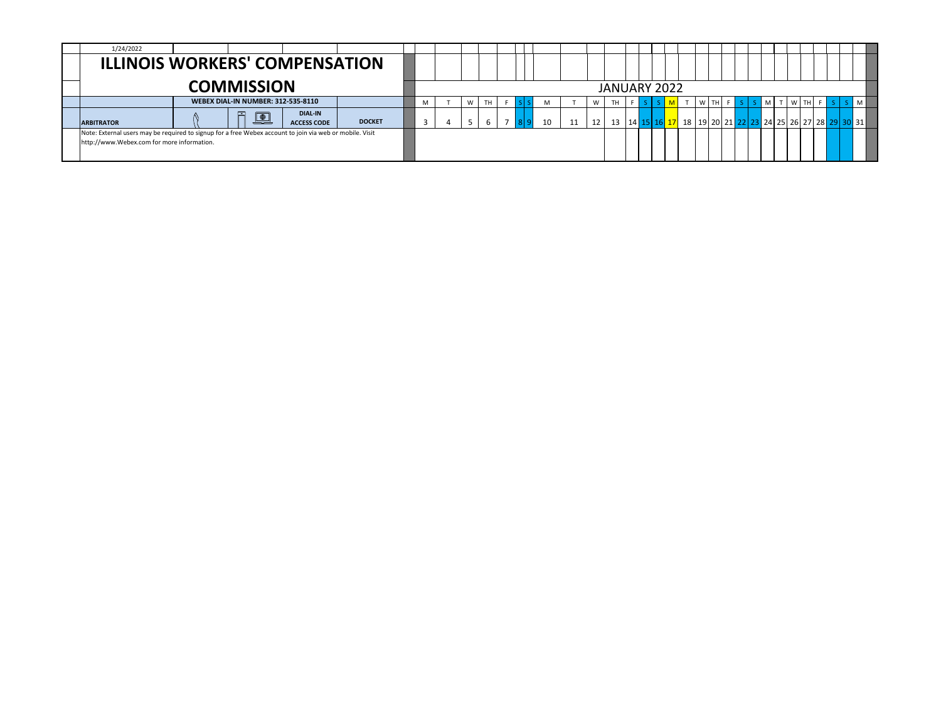| 1/24/2022                                                                                                                                              |  |                       |                                      |               |  |  |   |              |  |    |      |  |       |        |  |                |  |  |  |                                                                                                                      |  |
|--------------------------------------------------------------------------------------------------------------------------------------------------------|--|-----------------------|--------------------------------------|---------------|--|--|---|--------------|--|----|------|--|-------|--------|--|----------------|--|--|--|----------------------------------------------------------------------------------------------------------------------|--|
| <b>ILLINOIS WORKERS' COMPENSATION</b>                                                                                                                  |  |                       |                                      |               |  |  |   |              |  |    |      |  |       |        |  |                |  |  |  |                                                                                                                      |  |
|                                                                                                                                                        |  |                       |                                      |               |  |  |   | JANUARY 2022 |  |    |      |  |       |        |  |                |  |  |  |                                                                                                                      |  |
|                                                                                                                                                        |  |                       |                                      | W             |  |  | W | TH           |  |    | W TH |  | $S$ M | T W TH |  | $\blacksquare$ |  |  |  |                                                                                                                      |  |
| <b>ARBITRATOR</b>                                                                                                                                      |  | $\boxed{\oplus}$<br>œ | <b>DIAL-IN</b><br><b>ACCESS CODE</b> | <b>DOCKET</b> |  |  |   |              |  | 10 | 12   |  |       |        |  |                |  |  |  | 13   14 <mark>15   16   17</mark>   18   19   20   21   22   23   24   25   26   27   28 <mark>  29   30  </mark> 31 |  |
| Note: External users may be required to signup for a free Webex account to join via web or mobile. Visit<br>http://www.Webex.com for more information. |  |                       |                                      |               |  |  |   |              |  |    |      |  |       |        |  |                |  |  |  |                                                                                                                      |  |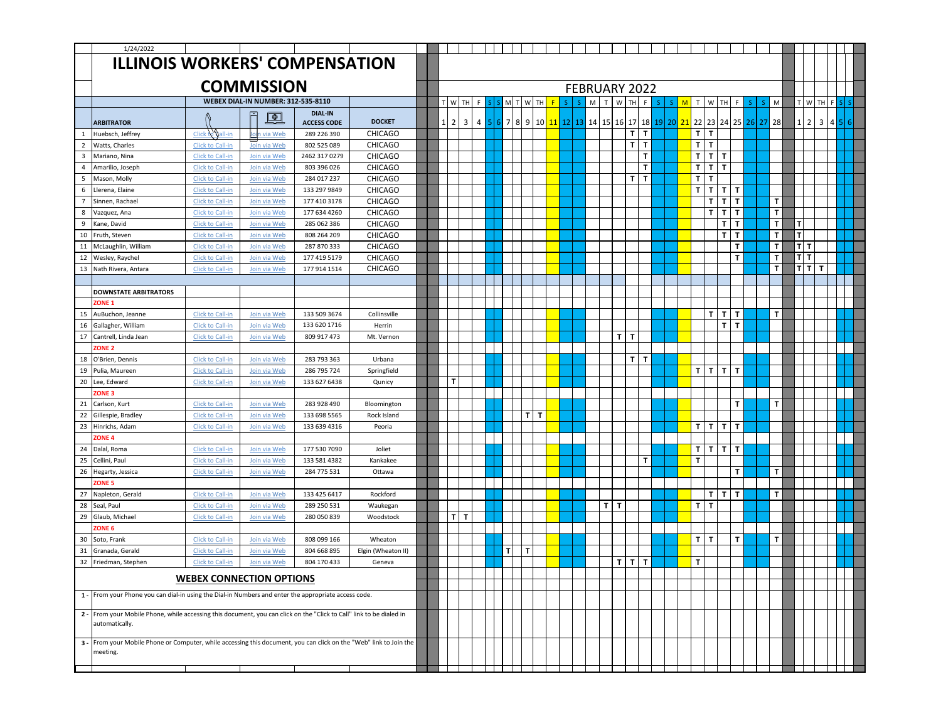|                | 1/24/2022                                                                                                                              |                                 |                                           |                                      |                    |                     |           |   |                      |                |  |                            |              |              |              |             |             |   |              |              |              |              |               |              |              |                |              |  |  |
|----------------|----------------------------------------------------------------------------------------------------------------------------------------|---------------------------------|-------------------------------------------|--------------------------------------|--------------------|---------------------|-----------|---|----------------------|----------------|--|----------------------------|--------------|--------------|--------------|-------------|-------------|---|--------------|--------------|--------------|--------------|---------------|--------------|--------------|----------------|--------------|--|--|
|                | <b>ILLINOIS WORKERS' COMPENSATION</b>                                                                                                  |                                 |                                           |                                      |                    |                     |           |   |                      |                |  |                            |              |              |              |             |             |   |              |              |              |              |               |              |              |                |              |  |  |
|                |                                                                                                                                        |                                 |                                           |                                      |                    |                     |           |   |                      |                |  |                            |              |              |              |             |             |   |              |              |              |              |               |              |              |                |              |  |  |
|                |                                                                                                                                        |                                 | <b>COMMISSION</b>                         |                                      |                    |                     |           |   |                      |                |  | FEBRUARY 2022              |              |              |              |             |             |   |              |              |              |              |               |              |              |                |              |  |  |
|                |                                                                                                                                        |                                 |                                           |                                      |                    |                     |           |   |                      |                |  |                            |              |              |              |             |             |   |              |              |              |              |               |              |              |                |              |  |  |
|                |                                                                                                                                        |                                 | <b>WEBEX DIAL-IN NUMBER: 312-535-8110</b> |                                      |                    | T W                 | <b>TH</b> |   |                      | W<br><b>TH</b> |  |                            | M<br>T       | W            | <b>TH</b>    | F           |             | M | $\mathsf{T}$ | W            | TН           |              |               | M            |              | T W            | TH F         |  |  |
|                | <b>ARBITRATOR</b>                                                                                                                      |                                 | $\boxed{\oplus}$                          | <b>DIAL-IN</b><br><b>ACCESS CODE</b> | <b>DOCKET</b>      | $\overline{2}$<br>1 | 3         | 4 | $7 \frac{1}{2}$<br>8 | 9              |  | 10 11 12 13 14 15 16 17 18 |              |              |              |             | 19 20 21 22 |   |              | 23 24 25     |              |              | $26$   27  28 |              | $\mathbf{1}$ | $\overline{2}$ | $\mathbf{3}$ |  |  |
| $\mathbf{1}$   | Huebsch, Jeffrey                                                                                                                       | Click to Gall-in                | Jon via Web                               | 289 226 390                          | <b>CHICAGO</b>     |                     |           |   |                      |                |  |                            |              |              | T.           | T           |             |   | T            | $\mathbf{T}$ |              |              |               |              |              |                |              |  |  |
| $\overline{2}$ | Watts, Charles                                                                                                                         | Click to Call-in                | Join via Web                              | 802 525 089                          | <b>CHICAGO</b>     |                     |           |   |                      |                |  |                            |              |              | Τ            | T           |             |   | $\mathbf{T}$ | $\mathbf{T}$ |              |              |               |              |              |                |              |  |  |
| 3              | Mariano, Nina                                                                                                                          | Click to Call-in                | Join via Web                              | 2462 317 0279                        | <b>CHICAGO</b>     |                     |           |   |                      |                |  |                            |              |              |              | T           |             |   | $\mathbf{T}$ | T            | $\mathbf{T}$ |              |               |              |              |                |              |  |  |
| $\overline{4}$ | Amarilio, Joseph                                                                                                                       | Click to Call-in                | Join via Web                              | 803 396 026                          | <b>CHICAGO</b>     |                     |           |   |                      |                |  |                            |              |              |              | T           |             |   | $\mathbf{T}$ | $\mathbf{T}$ | $\mathbf{T}$ |              |               |              |              |                |              |  |  |
| 5              | Mason, Molly                                                                                                                           | Click to Call-in                | Join via Web                              | 284 017 237                          | <b>CHICAGO</b>     |                     |           |   |                      |                |  |                            |              |              | T.           | $\mathbf T$ |             |   | $\mathbf{T}$ | $\mathbf{T}$ |              |              |               |              |              |                |              |  |  |
| 6              | Llerena, Elaine                                                                                                                        | Click to Call-in                | Join via Web                              | 133 297 9849                         | <b>CHICAGO</b>     |                     |           |   |                      |                |  |                            |              |              |              |             |             |   | $\mathbf{T}$ | T            | $\mathbf{T}$ | $\mathbf{T}$ |               |              |              |                |              |  |  |
| $\overline{7}$ | Sinnen, Rachael                                                                                                                        | Click to Call-in                | Join via Web                              | 177 410 3178                         | <b>CHICAGO</b>     |                     |           |   |                      |                |  |                            |              |              |              |             |             |   |              | T            | $\mathbf{T}$ | $\mathbf{T}$ |               | T            |              |                |              |  |  |
| 8              | Vazquez, Ana                                                                                                                           | <b>Click to Call-in</b>         | Join via Web                              | 177 634 4260                         | <b>CHICAGO</b>     |                     |           |   |                      |                |  |                            |              |              |              |             |             |   |              | T            | $\mathbf T$  | T            |               | T            |              |                |              |  |  |
| 9              | Kane, David                                                                                                                            | Click to Call-in                | Join via Web                              | 285 062 386                          | <b>CHICAGO</b>     |                     |           |   |                      |                |  |                            |              |              |              |             |             |   |              |              | T            | $\mathbf{T}$ |               | T            | т            |                |              |  |  |
| 10             | Fruth, Steven                                                                                                                          | Click to Call-in                | Join via Web                              | 808 264 209                          | <b>CHICAGO</b>     |                     |           |   |                      |                |  |                            |              |              |              |             |             |   |              |              | T            | $\mathbf{T}$ |               | $\mathbf{T}$ | T            |                |              |  |  |
| 11             | McLaughlin, William                                                                                                                    | Click to Call-in                | Join via Web                              | 287 870 333                          | <b>CHICAGO</b>     |                     |           |   |                      |                |  |                            |              |              |              |             |             |   |              |              |              | $\mathbf{T}$ |               | $\mathbf{T}$ |              | TI T           |              |  |  |
| 12             | Wesley, Raychel                                                                                                                        | Click to Call-in                | Join via Web                              | 177 419 5179                         | <b>CHICAGO</b>     |                     |           |   |                      |                |  |                            |              |              |              |             |             |   |              |              |              | T.           |               | $\mathbf{T}$ |              | тIт            |              |  |  |
|                | 13 Nath Rivera, Antara                                                                                                                 | Click to Call-in                | Join via Web                              | 177 914 1514                         | <b>CHICAGO</b>     |                     |           |   |                      |                |  |                            |              |              |              |             |             |   |              |              |              |              |               | $\mathbf{T}$ |              | тlт            | $\mathbf 7$  |  |  |
|                |                                                                                                                                        |                                 |                                           |                                      |                    |                     |           |   |                      |                |  |                            |              |              |              |             |             |   |              |              |              |              |               |              |              |                |              |  |  |
|                | <b>DOWNSTATE ARBITRATORS</b>                                                                                                           |                                 |                                           |                                      |                    |                     |           |   |                      |                |  |                            |              |              |              |             |             |   |              |              |              |              |               |              |              |                |              |  |  |
|                | ZONE <sub>1</sub>                                                                                                                      |                                 |                                           |                                      |                    |                     |           |   |                      |                |  |                            |              |              |              |             |             |   |              |              |              |              |               |              |              |                |              |  |  |
| 15             | AuBuchon, Jeanne                                                                                                                       | Click to Call-in                | Join via Web                              | 133 509 3674                         | Collinsville       |                     |           |   |                      |                |  |                            |              |              |              |             |             |   |              | T            | $\mathbf{T}$ | $\mathbf{T}$ |               | T            |              |                |              |  |  |
| 16             | Gallagher, William                                                                                                                     | Click to Call-in                | Join via Web                              | 133 620 1716                         | Herrin             |                     |           |   |                      |                |  |                            |              |              |              |             |             |   |              |              | T            | $\mathbf{T}$ |               |              |              |                |              |  |  |
| 17             | Cantrell, Linda Jean                                                                                                                   | Click to Call-in                | Join via Web                              | 809 917 473                          | Mt. Vernon         |                     |           |   |                      |                |  |                            |              | т            | т            |             |             |   |              |              |              |              |               |              |              |                |              |  |  |
|                | <b>ZONE 2</b>                                                                                                                          |                                 |                                           |                                      |                    |                     |           |   |                      |                |  |                            |              |              |              |             |             |   |              |              |              |              |               |              |              |                |              |  |  |
| 18             | O'Brien, Dennis                                                                                                                        | Click to Call-in                | Join via Web                              | 283 793 363                          | Urbana             |                     |           |   |                      |                |  |                            |              |              | ΤI           | T           |             |   |              |              |              |              |               |              |              |                |              |  |  |
| 19             | Pulia, Maureen                                                                                                                         | <b>Click to Call-in</b>         | Join via Web                              | 286 795 724                          | Springfield        |                     |           |   |                      |                |  |                            |              |              |              |             |             |   | T            | $T$ $T$      |              | $\mathbf{T}$ |               |              |              |                |              |  |  |
| 20             | Lee, Edward                                                                                                                            | Click to Call-in                | Join via Web                              | 133 627 6438                         | Qunicy             | T.                  |           |   |                      |                |  |                            |              |              |              |             |             |   |              |              |              |              |               |              |              |                |              |  |  |
|                | ZONE <sub>3</sub>                                                                                                                      |                                 |                                           |                                      |                    |                     |           |   |                      |                |  |                            |              |              |              |             |             |   |              |              |              |              |               |              |              |                |              |  |  |
| 21             | Carlson, Kurt                                                                                                                          | Click to Call-in                | Join via Web                              | 283 928 490                          | Bloomington        |                     |           |   |                      |                |  |                            |              |              |              |             |             |   |              |              |              | T            |               | T            |              |                |              |  |  |
| 22             | Gillespie, Bradley                                                                                                                     | Click to Call-in                | Join via Web                              | 133 698 5565                         | Rock Island        |                     |           |   |                      | TIT            |  |                            |              |              |              |             |             |   |              |              |              |              |               |              |              |                |              |  |  |
|                | 23 Hinrichs, Adam                                                                                                                      | Click to Call-in                | Join via Web                              | 133 639 4316                         | Peoria             |                     |           |   |                      |                |  |                            |              |              |              |             |             |   |              | $T[T T T$    |              |              |               |              |              |                |              |  |  |
|                | ZONE <sub>4</sub>                                                                                                                      |                                 |                                           |                                      |                    |                     |           |   |                      |                |  |                            |              |              |              |             |             |   |              |              |              |              |               |              |              |                |              |  |  |
| 24             | Dalal, Roma                                                                                                                            | Click to Call-in                | Join via Web                              | 177 530 7090                         | Joliet             |                     |           |   |                      |                |  |                            |              |              |              |             |             |   | T            | $T$ $ T $    |              | $\mathbf{T}$ |               |              |              |                |              |  |  |
| 25             | Cellini, Paul                                                                                                                          | Click to Call-in                | Join via Web                              | 133 581 4382                         | Kankakee           |                     |           |   |                      |                |  |                            |              |              |              | T.          |             |   | $\mathbf{T}$ |              |              |              |               |              |              |                |              |  |  |
| 26             | Hegarty, Jessica                                                                                                                       | Click to Call-in                | Join via Web                              | 284 775 531                          | Ottawa             |                     |           |   |                      |                |  |                            |              |              |              |             |             |   |              |              |              | T            |               | T            |              |                |              |  |  |
|                | ZONE <sub>5</sub>                                                                                                                      |                                 |                                           |                                      |                    |                     |           |   |                      |                |  |                            |              |              |              |             |             |   |              |              |              |              |               |              |              |                |              |  |  |
| 27             | Napleton, Gerald                                                                                                                       | Click to Call-in                | Join via Web                              | 133 425 6417                         | Rockford           |                     |           |   |                      |                |  |                            |              |              |              |             |             |   |              | $T$ $T$      |              | $\mathbf{T}$ |               | T.           |              |                |              |  |  |
| 28             | Seal, Paul                                                                                                                             | Click to Call-in                | Join via Web                              | 289 250 531                          | Waukegan           |                     |           |   |                      |                |  |                            | $\mathsf{T}$ | $\mathbf{T}$ |              |             |             |   | $\mathbf{T}$ | $\mathbf{T}$ |              |              |               |              |              |                |              |  |  |
| 29             | Glaub, Michael                                                                                                                         | Click to Call-in                | Join via Web                              | 280 050 839                          | Woodstock          |                     | TIT       |   |                      |                |  |                            |              |              |              |             |             |   |              |              |              |              |               |              |              |                |              |  |  |
|                | ZONE <sub>6</sub>                                                                                                                      |                                 |                                           |                                      |                    |                     |           |   |                      |                |  |                            |              |              |              |             |             |   |              |              |              |              |               |              |              |                |              |  |  |
| 30             | Soto, Frank                                                                                                                            | Click to Call-in                | Join via Web                              | 808 099 166                          | Wheaton            |                     |           |   |                      |                |  |                            |              |              |              |             |             |   | T            | $\mathbf{T}$ |              | T.           |               | T            |              |                |              |  |  |
| 31             | Granada, Gerald                                                                                                                        | Click to Call-in                | Join via Web                              | 804 668 895                          | Elgin (Wheaton II) |                     |           |   | T                    | $\mathbf{T}$   |  |                            |              |              |              |             |             |   |              |              |              |              |               |              |              |                |              |  |  |
|                | 32 Friedman, Stephen                                                                                                                   | Click to Call-in                | Join via Web                              | 804 170 433                          | Geneva             |                     |           |   |                      |                |  |                            |              | T.           | $\mathbf{T}$ | T.          |             |   | $\mathbf{T}$ |              |              |              |               |              |              |                |              |  |  |
|                |                                                                                                                                        | <b>WEBEX CONNECTION OPTIONS</b> |                                           |                                      |                    |                     |           |   |                      |                |  |                            |              |              |              |             |             |   |              |              |              |              |               |              |              |                |              |  |  |
|                | 1 - From your Phone you can dial-in using the Dial-in Numbers and enter the appropriate access code.                                   |                                 |                                           |                                      |                    |                     |           |   |                      |                |  |                            |              |              |              |             |             |   |              |              |              |              |               |              |              |                |              |  |  |
|                | 2 - From your Mobile Phone, while accessing this document, you can click on the "Click to Call" link to be dialed in<br>automatically. |                                 |                                           |                                      |                    |                     |           |   |                      |                |  |                            |              |              |              |             |             |   |              |              |              |              |               |              |              |                |              |  |  |
|                | 3 - From your Mobile Phone or Computer, while accessing this document, you can click on the "Web" link to Join the<br>meeting.         |                                 |                                           |                                      |                    |                     |           |   |                      |                |  |                            |              |              |              |             |             |   |              |              |              |              |               |              |              |                |              |  |  |
|                |                                                                                                                                        |                                 |                                           |                                      |                    |                     |           |   |                      |                |  |                            |              |              |              |             |             |   |              |              |              |              |               |              |              |                |              |  |  |